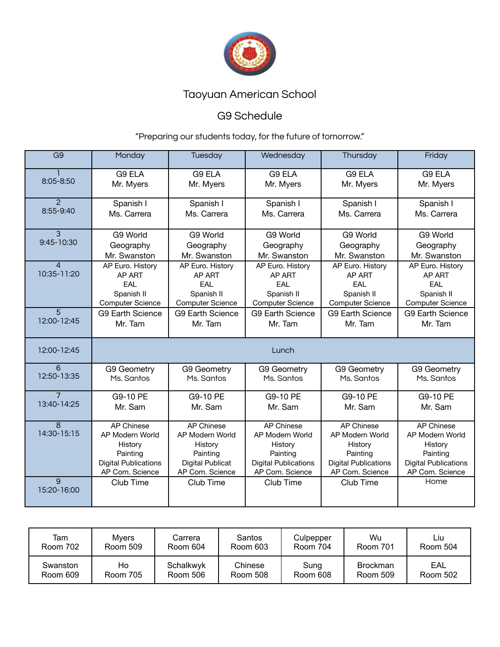

### G9 Schedule

| G9                            | Monday                                                                                                        | Tuesday                                                                                                   | Wednesday                                                                                                     | Thursday                                                                                                      | Friday                                                                                                        |
|-------------------------------|---------------------------------------------------------------------------------------------------------------|-----------------------------------------------------------------------------------------------------------|---------------------------------------------------------------------------------------------------------------|---------------------------------------------------------------------------------------------------------------|---------------------------------------------------------------------------------------------------------------|
| 8:05-8:50                     | G9 ELA<br>Mr. Myers                                                                                           | G9 ELA<br>Mr. Myers                                                                                       | G9 ELA<br>Mr. Myers                                                                                           | G9 ELA<br>Mr. Myers                                                                                           | G9 ELA<br>Mr. Myers                                                                                           |
| $\mathcal{P}$<br>8:55-9:40    | Spanish I<br>Ms. Carrera                                                                                      | Spanish I<br>Ms. Carrera                                                                                  | Spanish I<br>Ms. Carrera                                                                                      | Spanish I<br>Ms. Carrera                                                                                      | Spanish I<br>Ms. Carrera                                                                                      |
| 3<br>9:45-10:30               | G9 World<br>Geography<br>Mr. Swanston                                                                         | G9 World<br>Geography<br>Mr. Swanston                                                                     | G9 World<br>Geography<br>Mr. Swanston                                                                         | G9 World<br>Geography<br>Mr. Swanston                                                                         | G9 World<br>Geography<br>Mr. Swanston                                                                         |
| $\overline{4}$<br>10:35-11:20 | AP Euro. History<br>AP ART<br><b>FAI</b><br>Spanish II<br><b>Computer Science</b>                             | AP Euro. History<br>AP ART<br><b>FAI</b><br>Spanish II<br><b>Computer Science</b>                         | AP Euro. History<br>AP ART<br>EAL<br>Spanish II<br><b>Computer Science</b>                                    | AP Euro. History<br>AP ART<br><b>FAI</b><br>Spanish II<br><b>Computer Science</b>                             | AP Euro. History<br>AP ART<br>EAL<br>Spanish II<br><b>Computer Science</b>                                    |
| 5<br>12:00-12:45              | <b>G9 Earth Science</b><br>Mr. Tam                                                                            | <b>G9 Earth Science</b><br>Mr. Tam                                                                        | <b>G9 Earth Science</b><br>Mr. Tam                                                                            | <b>G9 Earth Science</b><br>Mr. Tam                                                                            | <b>G9 Earth Science</b><br>Mr. Tam                                                                            |
| 12:00-12:45                   |                                                                                                               |                                                                                                           | Lunch                                                                                                         |                                                                                                               |                                                                                                               |
| 6<br>12:50-13:35              | G9 Geometry<br>Ms. Santos                                                                                     | G9 Geometry<br>Ms. Santos                                                                                 | G9 Geometry<br>Ms. Santos                                                                                     | <b>G9 Geometry</b><br>Ms. Santos                                                                              | <b>G9 Geometry</b><br>Ms. Santos                                                                              |
| $\overline{7}$<br>13:40-14:25 | G9-10 PE<br>Mr. Sam                                                                                           | G9-10 PE<br>Mr. Sam                                                                                       | G9-10 PE<br>Mr. Sam                                                                                           | G9-10 PE<br>Mr. Sam                                                                                           | G9-10 PE<br>Mr. Sam                                                                                           |
| $\overline{8}$<br>14:30-15:15 | <b>AP Chinese</b><br>AP Modern World<br>History<br>Painting<br><b>Digital Publications</b><br>AP Com. Science | <b>AP Chinese</b><br>AP Modern World<br>History<br>Painting<br><b>Digital Publicat</b><br>AP Com. Science | <b>AP Chinese</b><br>AP Modern World<br>History<br>Painting<br><b>Digital Publications</b><br>AP Com. Science | <b>AP Chinese</b><br>AP Modern World<br>History<br>Painting<br><b>Digital Publications</b><br>AP Com. Science | <b>AP Chinese</b><br>AP Modern World<br>History<br>Painting<br><b>Digital Publications</b><br>AP Com. Science |
| 9<br>15:20-16:00              | Club Time                                                                                                     | Club Time                                                                                                 | Club Time                                                                                                     | Club Time                                                                                                     | Home                                                                                                          |

| Tam      | Mvers    | Carrera   | Santos   | Culpepper | Wu              | Liu      |
|----------|----------|-----------|----------|-----------|-----------------|----------|
| Room 702 | Room 509 | Room 604  | Room 603 | Room 704  | Room 701        | Room 504 |
| Swanston | Ho       | Schalkwyk | Chinese  | Sung      | <b>Brockman</b> | EAL      |
| Room 609 | Room 705 | Room 506  | Room 508 | Room 608  | Room 509        | Room 502 |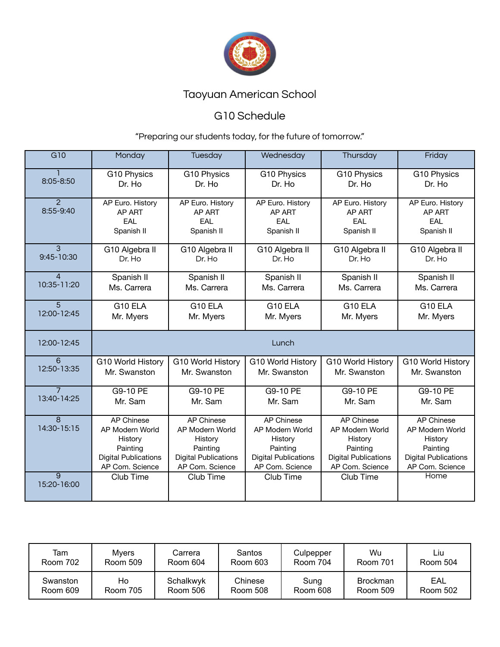

## G10 Schedule

| G10                           | Monday                                                                                                        | Tuesday                                                                                                       | Wednesday                                                                                                     | Thursday                                                                                                      | Friday                                                                                                        |
|-------------------------------|---------------------------------------------------------------------------------------------------------------|---------------------------------------------------------------------------------------------------------------|---------------------------------------------------------------------------------------------------------------|---------------------------------------------------------------------------------------------------------------|---------------------------------------------------------------------------------------------------------------|
| 8:05-8:50                     | G10 Physics                                                                                                   | G10 Physics                                                                                                   | G10 Physics                                                                                                   | G10 Physics                                                                                                   | G10 Physics                                                                                                   |
|                               | Dr. Ho                                                                                                        | Dr. Ho                                                                                                        | Dr. Ho                                                                                                        | Dr. Ho                                                                                                        | Dr. Ho                                                                                                        |
| $\mathcal{P}$<br>8:55-9:40    | AP Euro. History<br>AP ART<br>EAL<br>Spanish II                                                               | AP Euro. History<br>AP ART<br>EAL<br>Spanish II                                                               | AP Euro. History<br>AP ART<br>EAL<br>Spanish II                                                               | AP Euro. History<br>AP ART<br>EAL<br>Spanish II                                                               | AP Euro. History<br>AP ART<br>EAL<br>Spanish II                                                               |
| $\mathcal{S}$                 | G10 Algebra II                                                                                                | G10 Algebra II                                                                                                | G10 Algebra II                                                                                                | G10 Algebra II                                                                                                | G10 Algebra II                                                                                                |
| 9:45-10:30                    | Dr. Ho                                                                                                        | Dr. Ho                                                                                                        | Dr. Ho                                                                                                        | Dr. Ho                                                                                                        | Dr. Ho                                                                                                        |
| 4                             | Spanish II                                                                                                    | Spanish II                                                                                                    | Spanish II                                                                                                    | Spanish II                                                                                                    | Spanish II                                                                                                    |
| 10:35-11:20                   | Ms. Carrera                                                                                                   | Ms. Carrera                                                                                                   | Ms. Carrera                                                                                                   | Ms. Carrera                                                                                                   | Ms. Carrera                                                                                                   |
| 5                             | G10 ELA                                                                                                       | G10 ELA                                                                                                       | G10 ELA                                                                                                       | G10 ELA                                                                                                       | G10 ELA                                                                                                       |
| 12:00-12:45                   | Mr. Myers                                                                                                     | Mr. Myers                                                                                                     | Mr. Myers                                                                                                     | Mr. Myers                                                                                                     | Mr. Myers                                                                                                     |
| 12:00-12:45                   |                                                                                                               |                                                                                                               | Lunch                                                                                                         |                                                                                                               |                                                                                                               |
| 6                             | G10 World History                                                                                             | G10 World History                                                                                             | G10 World History                                                                                             | G10 World History                                                                                             | G10 World History                                                                                             |
| 12:50-13:35                   | Mr. Swanston                                                                                                  | Mr. Swanston                                                                                                  | Mr. Swanston                                                                                                  | Mr. Swanston                                                                                                  | Mr. Swanston                                                                                                  |
| $\overline{7}$                | G9-10 PE                                                                                                      | G9-10 PE                                                                                                      | G9-10 PE                                                                                                      | G9-10 PE                                                                                                      | G9-10 PE                                                                                                      |
| 13:40-14:25                   | Mr. Sam                                                                                                       | Mr. Sam                                                                                                       | Mr. Sam                                                                                                       | Mr. Sam                                                                                                       | Mr. Sam                                                                                                       |
| $\overline{8}$<br>14:30-15:15 | <b>AP Chinese</b><br>AP Modern World<br>History<br>Painting<br><b>Digital Publications</b><br>AP Com. Science | <b>AP Chinese</b><br>AP Modern World<br>History<br>Painting<br><b>Digital Publications</b><br>AP Com. Science | <b>AP Chinese</b><br>AP Modern World<br>History<br>Painting<br><b>Digital Publications</b><br>AP Com. Science | <b>AP Chinese</b><br>AP Modern World<br>History<br>Painting<br><b>Digital Publications</b><br>AP Com. Science | <b>AP Chinese</b><br>AP Modern World<br>History<br>Painting<br><b>Digital Publications</b><br>AP Com. Science |
| $\overline{9}$<br>15:20-16:00 | Club Time                                                                                                     | Club Time                                                                                                     | Club Time                                                                                                     | Club Time                                                                                                     | Home                                                                                                          |

| Tam      | <b>Mvers</b>    | Carrera   | Santos   | Culpepper | Wu              | Liu      |
|----------|-----------------|-----------|----------|-----------|-----------------|----------|
| Room 702 | <b>Room 509</b> | Room 604  | Room 603 | Room 704  | Room 701        | Room 504 |
| Swanston | Ho              | Schalkwyk | Chinese  | Sung      | <b>Brockman</b> | EAL      |
| Room 609 | Room 705        | Room 506  | Room 508 | Room 608  | Room 509        | Room 502 |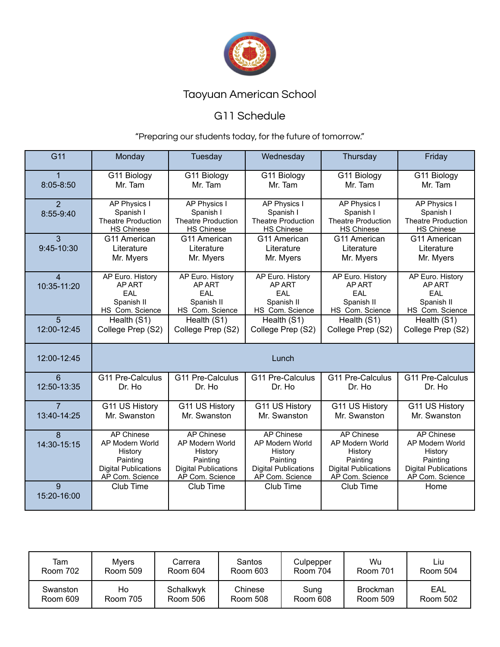

## G11 Schedule

| G <sub>11</sub>               | Monday                                                                                                 | Tuesday                                                                                                | Wednesday                                                                                              | Thursday                                                                                                      | Friday                                                                                                        |
|-------------------------------|--------------------------------------------------------------------------------------------------------|--------------------------------------------------------------------------------------------------------|--------------------------------------------------------------------------------------------------------|---------------------------------------------------------------------------------------------------------------|---------------------------------------------------------------------------------------------------------------|
| $\mathbf 1$<br>$8:05 - 8:50$  | G11 Biology<br>Mr. Tam                                                                                 | G11 Biology<br>Mr. Tam                                                                                 | G11 Biology<br>Mr. Tam                                                                                 | G11 Biology<br>Mr. Tam                                                                                        | G11 Biology<br>Mr. Tam                                                                                        |
| $\overline{2}$<br>8:55-9:40   | <b>AP Physics I</b><br>Spanish I<br><b>Theatre Production</b><br><b>HS Chinese</b>                     | <b>AP Physics I</b><br>Spanish I<br><b>Theatre Production</b><br><b>HS Chinese</b>                     | AP Physics I<br>Spanish I<br><b>Theatre Production</b><br><b>HS Chinese</b>                            | <b>AP Physics I</b><br>Spanish I<br><b>Theatre Production</b><br><b>HS Chinese</b>                            | <b>AP Physics I</b><br>Spanish I<br><b>Theatre Production</b><br><b>HS Chinese</b>                            |
| $\overline{3}$<br>9:45-10:30  | G11 American<br>Literature<br>Mr. Myers                                                                | G11 American<br>Literature<br>Mr. Myers                                                                | G11 American<br>Literature<br>Mr. Myers                                                                | G11 American<br>Literature<br>Mr. Myers                                                                       | G11 American<br>Literature<br>Mr. Myers                                                                       |
| $\overline{4}$<br>10:35-11:20 | AP Euro. History<br>AP ART<br>EAL<br>Spanish II<br>HS Com. Science                                     | AP Euro. History<br>AP ART<br>EAL<br>Spanish II<br>HS Com. Science                                     | AP Euro. History<br>AP ART<br>EAL<br>Spanish II<br>HS Com. Science                                     | AP Euro. History<br>AP ART<br>EAL<br>Spanish II<br>HS Com. Science                                            | AP Euro. History<br>AP ART<br>EAL<br>Spanish II<br>HS Com. Science                                            |
| 5<br>12:00-12:45              | Health (S1)<br>College Prep (S2)                                                                       | Health (S1)<br>College Prep (S2)                                                                       | Health (S1)<br>College Prep (S2)                                                                       | Health (S1)<br>College Prep (S2)                                                                              | Health (S1)<br>College Prep (S2)                                                                              |
| 12:00-12:45                   |                                                                                                        |                                                                                                        | Lunch                                                                                                  |                                                                                                               |                                                                                                               |
| 6<br>12:50-13:35              | G11 Pre-Calculus<br>Dr. Ho                                                                             | G11 Pre-Calculus<br>Dr. Ho                                                                             | G11 Pre-Calculus<br>Dr. Ho                                                                             | G11 Pre-Calculus<br>Dr. Ho                                                                                    | G11 Pre-Calculus<br>Dr. Ho                                                                                    |
| $\overline{7}$<br>13:40-14:25 | G11 US History<br>Mr. Swanston                                                                         | G11 US History<br>Mr. Swanston                                                                         | G11 US History<br>Mr. Swanston                                                                         | G11 US History<br>Mr. Swanston                                                                                | G11 US History<br>Mr. Swanston                                                                                |
| 8<br>14:30-15:15              | AP Chinese<br>AP Modern World<br>History<br>Painting<br><b>Digital Publications</b><br>AP Com. Science | AP Chinese<br>AP Modern World<br>History<br>Painting<br><b>Digital Publications</b><br>AP Com. Science | AP Chinese<br>AP Modern World<br>History<br>Painting<br><b>Digital Publications</b><br>AP Com. Science | <b>AP Chinese</b><br>AP Modern World<br>History<br>Painting<br><b>Digital Publications</b><br>AP Com. Science | <b>AP Chinese</b><br>AP Modern World<br>History<br>Painting<br><b>Digital Publications</b><br>AP Com. Science |
| $\mathbf{Q}$<br>15:20-16:00   | Club Time                                                                                              | Club Time                                                                                              | Club Time                                                                                              | Club Time                                                                                                     | Home                                                                                                          |

| Tam             | Mvers    | Carrera   | <b>Santos</b> | Culpepper | Wu              | Liu      |
|-----------------|----------|-----------|---------------|-----------|-----------------|----------|
| <b>Room 702</b> | Room 509 | Room 604  | Room 603      | Room 704  | Room 701        | Room 504 |
| Swanston        | Ho       | Schalkwyk | Chinese       | Sung      | <b>Brockman</b> | EAL      |
| Room 609        | Room 705 | Room 506  | Room 508      | Room 608  | Room 509        | Room 502 |